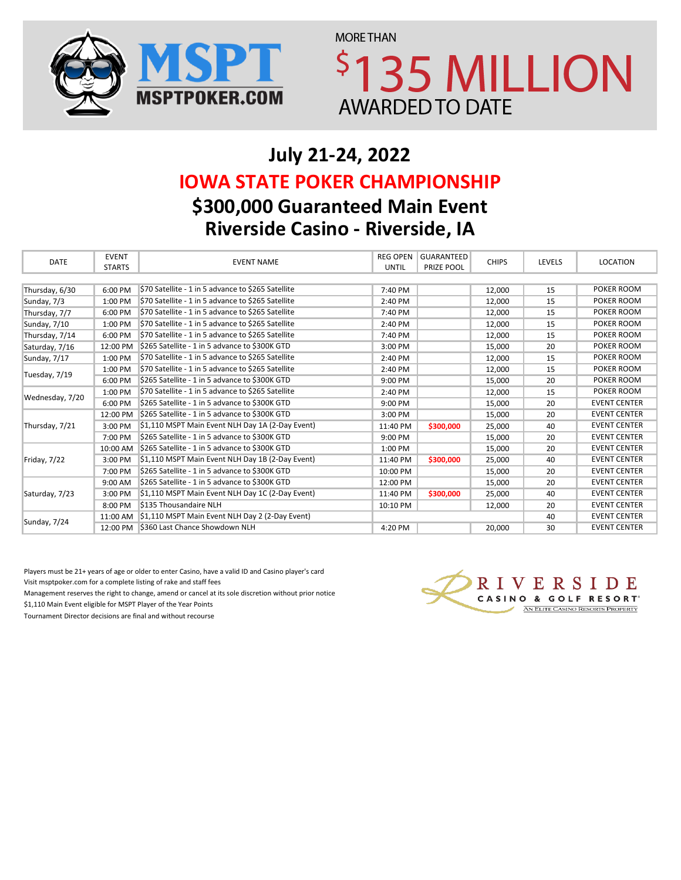



# **July 21-24, 2022 \$300,000 Guaranteed Main Event Riverside Casino - Riverside, IA IOWA STATE POKER CHAMPIONSHIP**

| <b>DATE</b>     | <b>EVENT</b>  | <b>EVENT NAME</b>                                  | <b>REG OPEN</b> | GUARANTEED | <b>CHIPS</b> | LEVELS | LOCATION            |
|-----------------|---------------|----------------------------------------------------|-----------------|------------|--------------|--------|---------------------|
|                 | <b>STARTS</b> |                                                    | <b>UNTIL</b>    | PRIZE POOL |              |        |                     |
|                 |               |                                                    |                 |            |              |        |                     |
| Thursday, 6/30  | 6:00 PM       | \$70 Satellite - 1 in 5 advance to \$265 Satellite | 7:40 PM         |            | 12,000       | 15     | POKER ROOM          |
| Sunday, 7/3     | 1:00 PM       | \$70 Satellite - 1 in 5 advance to \$265 Satellite | 2:40 PM         |            | 12,000       | 15     | POKER ROOM          |
| Thursday, 7/7   | 6:00 PM       | \$70 Satellite - 1 in 5 advance to \$265 Satellite | 7:40 PM         |            | 12,000       | 15     | POKER ROOM          |
| Sunday, 7/10    | 1:00 PM       | \$70 Satellite - 1 in 5 advance to \$265 Satellite | 2:40 PM         |            | 12,000       | 15     | POKER ROOM          |
| Thursday, 7/14  | 6:00 PM       | \$70 Satellite - 1 in 5 advance to \$265 Satellite | 7:40 PM         |            | 12,000       | 15     | POKER ROOM          |
| Saturday, 7/16  | 12:00 PM      | \$265 Satellite - 1 in 5 advance to \$300K GTD     | 3:00 PM         |            | 15,000       | 20     | POKER ROOM          |
| Sunday, 7/17    | 1:00 PM       | \$70 Satellite - 1 in 5 advance to \$265 Satellite | 2:40 PM         |            | 12,000       | 15     | POKER ROOM          |
| Tuesday, 7/19   | 1:00 PM       | \$70 Satellite - 1 in 5 advance to \$265 Satellite | 2:40 PM         |            | 12,000       | 15     | POKER ROOM          |
|                 | 6:00 PM       | \$265 Satellite - 1 in 5 advance to \$300K GTD     | 9:00 PM         |            | 15,000       | 20     | POKER ROOM          |
| Wednesday, 7/20 | 1:00 PM       | \$70 Satellite - 1 in 5 advance to \$265 Satellite | 2:40 PM         |            | 12,000       | 15     | POKER ROOM          |
|                 | 6:00 PM       | \$265 Satellite - 1 in 5 advance to \$300K GTD     | 9:00 PM         |            | 15,000       | 20     | <b>EVENT CENTER</b> |
|                 | 12:00 PM      | \$265 Satellite - 1 in 5 advance to \$300K GTD     | 3:00 PM         |            | 15,000       | 20     | <b>EVENT CENTER</b> |
| Thursday, 7/21  | 3:00 PM       | \$1,110 MSPT Main Event NLH Day 1A (2-Day Event)   | 11:40 PM        | \$300,000  | 25,000       | 40     | <b>EVENT CENTER</b> |
|                 | 7:00 PM       | \$265 Satellite - 1 in 5 advance to \$300K GTD     | 9:00 PM         |            | 15.000       | 20     | <b>EVENT CENTER</b> |
|                 | 10:00 AM      | \$265 Satellite - 1 in 5 advance to \$300K GTD     | 1:00 PM         |            | 15.000       | 20     | <b>EVENT CENTER</b> |
| Friday, 7/22    | 3:00 PM       | \$1,110 MSPT Main Event NLH Day 1B (2-Day Event)   | 11:40 PM        | \$300,000  | 25,000       | 40     | <b>EVENT CENTER</b> |
|                 | 7:00 PM       | \$265 Satellite - 1 in 5 advance to \$300K GTD     | 10:00 PM        |            | 15,000       | 20     | <b>EVENT CENTER</b> |
|                 | 9:00 AM       | \$265 Satellite - 1 in 5 advance to \$300K GTD     | 12:00 PM        |            | 15,000       | 20     | <b>EVENT CENTER</b> |
| Saturday, 7/23  | 3:00 PM       | \$1,110 MSPT Main Event NLH Day 1C (2-Day Event)   | 11:40 PM        | \$300,000  | 25,000       | 40     | <b>EVENT CENTER</b> |
|                 | 8:00 PM       | \$135 Thousandaire NLH                             | 10:10 PM        |            | 12,000       | 20     | <b>EVENT CENTER</b> |
| Sunday, 7/24    | 11:00 AM      | \$1,110 MSPT Main Event NLH Day 2 (2-Day Event)    |                 |            |              | 40     | <b>EVENT CENTER</b> |
|                 | 12:00 PM      | \$360 Last Chance Showdown NLH                     | 4:20 PM         |            | 20.000       | 30     | <b>EVENT CENTER</b> |

Players must be 21+ years of age or older to enter Casino, have a valid ID and Casino player's card Visit msptpoker.com for a complete listing of rake and staff fees

Management reserves the right to change, amend or cancel at its sole discretion without prior notice

\$1,110 Main Event eligible for MSPT Player of the Year Points

Tournament Director decisions are final and without recourse

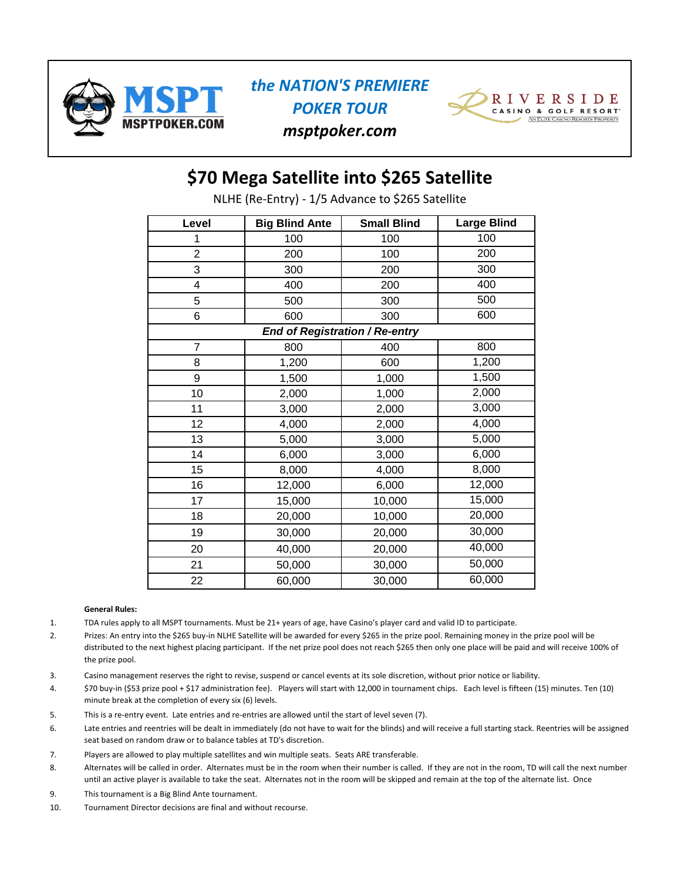



*msptpoker.com*

## **\$70 Mega Satellite into \$265 Satellite**

NLHE (Re-Entry) - 1/5 Advance to \$265 Satellite

| Level          | <b>Big Blind Ante</b> | <b>Small Blind</b>                    | <b>Large Blind</b> |
|----------------|-----------------------|---------------------------------------|--------------------|
| 1              | 100                   | 100                                   | 100                |
| $\overline{2}$ | 200                   | 100                                   | 200                |
| 3              | 300                   | 200                                   | 300                |
| 4              | 400                   | 200                                   | 400                |
| 5              | 500                   | 300                                   | 500                |
| 6              | 600                   | 300                                   | 600                |
|                |                       | <b>End of Registration / Re-entry</b> |                    |
| $\overline{7}$ | 800                   | 400                                   | 800                |
| 8              | 1,200                 | 600                                   | 1,200              |
| 9              | 1,500                 | 1,000                                 | 1,500              |
| 10             | 2,000                 | 1,000                                 | 2,000              |
| 11             | 3,000                 | 2,000                                 | 3,000              |
| 12             | 4,000                 | 2,000                                 | 4,000              |
| 13             | 5,000                 | 3,000                                 | 5,000              |
| 14             | 6,000                 | 3,000                                 | 6,000              |
| 15             | 8,000                 | 4,000                                 | 8,000              |
| 16             | 12,000                | 6,000                                 | 12,000             |
| 17             | 15,000                | 10,000                                | 15,000             |
| 18             | 20,000                | 10,000                                | 20,000             |
| 19             | 30,000                | 20,000                                | 30,000             |
| 20             | 40,000                | 20,000                                | 40,000             |
| 21             | 50,000                | 30,000                                | 50,000             |
| 22             | 60,000                | 30,000                                | 60,000             |

#### **General Rules:**

- 1. TDA rules apply to all MSPT tournaments. Must be 21+ years of age, have Casino's player card and valid ID to participate.
- 2. Prizes: An entry into the \$265 buy-in NLHE Satellite will be awarded for every \$265 in the prize pool. Remaining money in the prize pool will be distributed to the next highest placing participant. If the net prize pool does not reach \$265 then only one place will be paid and will receive 100% of the prize pool.
- 3. Casino management reserves the right to revise, suspend or cancel events at its sole discretion, without prior notice or liability.
- \$70 buy-in (\$53 prize pool + \$17 administration fee). Players will start with 12,000 in tournament chips. Each level is fifteen (15) minutes. Ten (10) minute break at the completion of every six (6) levels. 4.
- 5. This is a re-entry event. Late entries and re-entries are allowed until the start of level seven (7).
- 6. Late entries and reentries will be dealt in immediately (do not have to wait for the blinds) and will receive a full starting stack. Reentries will be assigned seat based on random draw or to balance tables at TD's discretion.
- 7. Players are allowed to play multiple satellites and win multiple seats. Seats ARE transferable.
- 8. Alternates will be called in order. Alternates must be in the room when their number is called. If they are not in the room, TD will call the next number until an active player is available to take the seat. Alternates not in the room will be skipped and remain at the top of the alternate list. Once
- 9. This tournament is a Big Blind Ante tournament.
- 10. Tournament Director decisions are final and without recourse.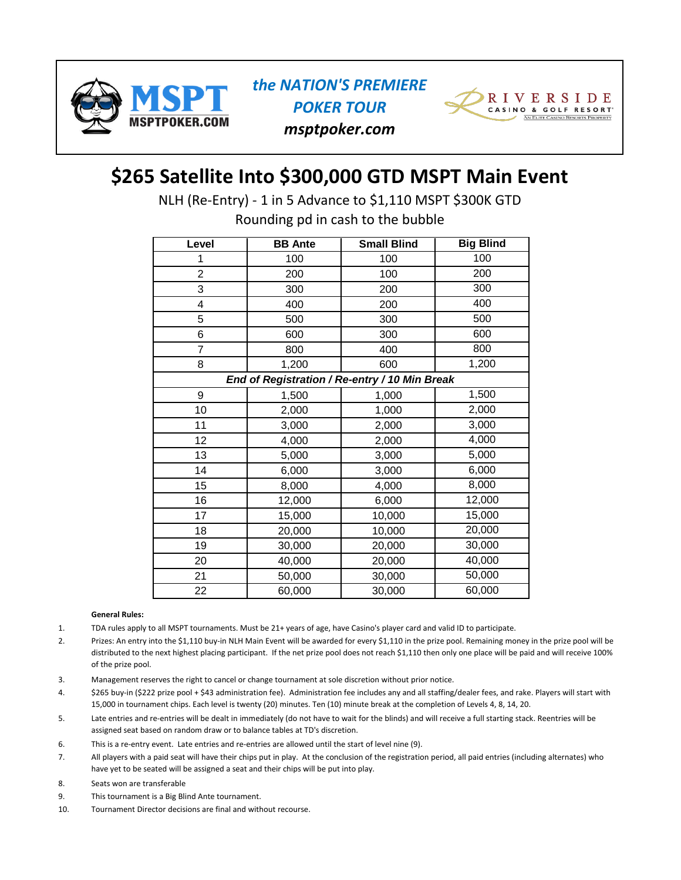





## **\$265 Satellite Into \$300,000 GTD MSPT Main Event**

NLH (Re-Entry) - 1 in 5 Advance to \$1,110 MSPT \$300K GTD

Rounding pd in cash to the bubble

| Level | <b>BB</b> Ante                                | <b>Small Blind</b> | <b>Big Blind</b> |
|-------|-----------------------------------------------|--------------------|------------------|
| 1     | 100                                           | 100                | 100              |
| 2     | 200                                           | 100                | 200              |
| 3     | 300                                           | 200                | 300              |
| 4     | 400                                           | 200                | 400              |
| 5     | 500                                           | 300                | 500              |
| 6     | 600                                           | 300                | 600              |
| 7     | 800                                           | 400                | 800              |
| 8     | 1,200                                         | 600                | 1,200            |
|       | End of Registration / Re-entry / 10 Min Break |                    |                  |
| 9     | 1,500                                         | 1,000              | 1,500            |
| 10    | 2,000                                         | 1,000              | 2,000            |
| 11    | 3,000                                         | 2,000              | 3,000            |
| 12    | 4,000                                         | 2,000              | 4,000            |
| 13    | 5,000                                         | 3,000              | 5,000            |
| 14    | 6,000                                         | 3,000              | 6,000            |
| 15    | 8,000                                         | 4,000              | 8,000            |
| 16    | 12,000                                        | 6,000              | 12,000           |
| 17    | 15,000                                        | 10,000             | 15,000           |
| 18    | 20,000                                        | 10,000             | 20,000           |
| 19    | 30,000                                        | 20,000             | 30,000           |
| 20    | 40,000                                        | 20,000             | 40,000           |
| 21    | 50,000                                        | 30,000             | 50,000           |
| 22    | 60,000                                        | 30,000             | 60,000           |

#### **General Rules:**

- 1. TDA rules apply to all MSPT tournaments. Must be 21+ years of age, have Casino's player card and valid ID to participate.
- 2. Prizes: An entry into the \$1,110 buy-in NLH Main Event will be awarded for every \$1,110 in the prize pool. Remaining money in the prize pool will be distributed to the next highest placing participant. If the net prize pool does not reach \$1,110 then only one place will be paid and will receive 100% of the prize pool.
- 3. Management reserves the right to cancel or change tournament at sole discretion without prior notice.
- 4. \$265 buy-in (\$222 prize pool + \$43 administration fee). Administration fee includes any and all staffing/dealer fees, and rake. Players will start with 15,000 in tournament chips. Each level is twenty (20) minutes. Ten (10) minute break at the completion of Levels 4, 8, 14, 20.
- 5. Late entries and re-entries will be dealt in immediately (do not have to wait for the blinds) and will receive a full starting stack. Reentries will be assigned seat based on random draw or to balance tables at TD's discretion.
- 6. This is a re-entry event. Late entries and re-entries are allowed until the start of level nine (9).
- 7. All players with a paid seat will have their chips put in play. At the conclusion of the registration period, all paid entries (including alternates) who have yet to be seated will be assigned a seat and their chips will be put into play.
- 8. Seats won are transferable
- 9. This tournament is a Big Blind Ante tournament.
- 10. Tournament Director decisions are final and without recourse.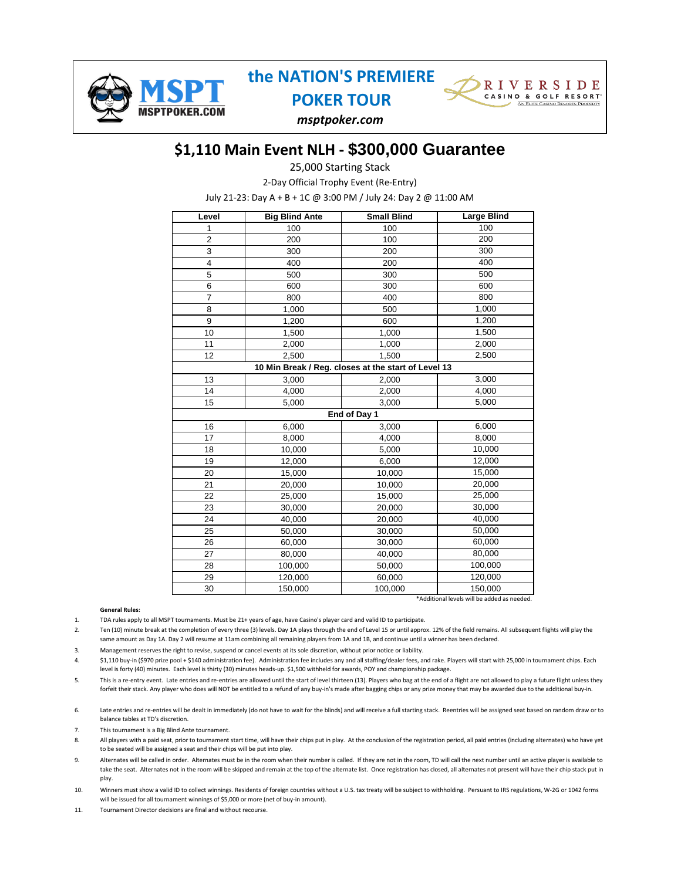



*msptpoker.com*

## **\$1,110 Main Event NLH - \$300,000 Guarantee**

25,000 Starting Stack

2-Day Official Trophy Event (Re-Entry)

July 21-23: Day A + B + 1C @ 3:00 PM / July 24: Day 2 @ 11:00 AM

| Level                   | <b>Big Blind Ante</b> | <b>Small Blind</b>                                  | <b>Large Blind</b> |  |  |  |
|-------------------------|-----------------------|-----------------------------------------------------|--------------------|--|--|--|
| 1                       | 100                   | 100                                                 | 100                |  |  |  |
| $\overline{c}$          | 200                   | 100                                                 | 200                |  |  |  |
| 3                       | 300                   | 200                                                 | 300                |  |  |  |
| $\overline{\mathbf{4}}$ | 400                   | 200                                                 | 400                |  |  |  |
| 5                       | 500                   | 300                                                 | 500                |  |  |  |
| 6                       | 600                   | 300                                                 | 600                |  |  |  |
| $\overline{7}$          | 800                   | 400                                                 | 800                |  |  |  |
| 8                       | 1,000                 | 500                                                 | 1,000              |  |  |  |
| 9                       | 1,200                 | 600                                                 | 1,200              |  |  |  |
| 10                      | 1,500                 | 1,000                                               | 1,500              |  |  |  |
| 11                      | 2,000                 | 1,000                                               | 2,000              |  |  |  |
| 12                      | 2,500                 | 1,500                                               | 2,500              |  |  |  |
|                         |                       | 10 Min Break / Reg. closes at the start of Level 13 |                    |  |  |  |
| 13                      | 3,000                 | 2,000                                               | 3,000              |  |  |  |
| 14                      | 4,000                 | 2,000                                               | 4,000              |  |  |  |
| 15                      | 5,000                 | 3,000                                               | 5,000              |  |  |  |
|                         | End of Day 1          |                                                     |                    |  |  |  |
| 16                      | 6,000                 | 3,000                                               | 6,000              |  |  |  |
| 17                      | 8,000                 | 4,000                                               | 8,000              |  |  |  |
| 18                      | 10,000                | 5,000                                               | 10,000             |  |  |  |
| 19                      | 12,000                | 6,000                                               | 12,000             |  |  |  |
| 20                      | 15,000                | 10,000                                              | 15,000             |  |  |  |
| 21                      | 20,000                | 10,000                                              | 20,000             |  |  |  |
| 22                      | 25,000                | 15,000                                              | 25,000             |  |  |  |
| 23                      | 30,000                | 20,000                                              | 30,000             |  |  |  |
| 24                      | 40,000                | 20,000                                              | 40,000             |  |  |  |
| 25                      | 50,000                | 30,000                                              | 50,000             |  |  |  |
| 26                      | 60,000                | 30,000                                              | 60,000             |  |  |  |
| 27                      | 80,000                | 40,000                                              | 80,000             |  |  |  |
| 28                      | 100,000               | 50,000                                              | 100,000            |  |  |  |
| 29                      | 120,000               | 60,000                                              | 120,000            |  |  |  |
| 30                      | 150,000               | 100,000                                             | 150,000            |  |  |  |

\*Additional levels will be added as needed.

#### **General Rules:**

1. TDA rules apply to all MSPT tournaments. Must be 21+ years of age, have Casino's player card and valid ID to participate.

2. Ten (10) minute break at the completion of every three (3) levels. Day 1A plays through the end of Level 15 or until approx. 12% of the field remains. All subsequent flights will play the same amount as Day 1A. Day 2 will resume at 11am combining all remaining players from 1A and 1B, and continue until a winner has been declared.

3. Management reserves the right to revise, suspend or cancel events at its sole discretion, without prior notice or liability.

4. \$1,110 buy-in (\$970 prize pool + \$140 administration fee). Administration fee includes any and all staffing/dealer fees, and rake. Players will start with 25,000 in tournament chips. Each level is forty (40) minutes. Each level is thirty (30) minutes heads-up. \$1,500 withheld for awards, POY and championship package.

5. This is a re-entry event. Late entries and re-entries are allowed until the start of level thirteen (13). Players who bag at the end of a flight are not allowed to play a future flight unless they forfeit their stack. Any player who does will NOT be entitled to a refund of any buy-in's made after bagging chips or any prize money that may be awarded due to the additional buy-in.

6. Late entries and re-entries will be dealt in immediately (do not have to wait for the blinds) and will receive a full starting stack. Reentries will be assigned seat based on random draw or to balance tables at TD's discretion.

7. This tournament is a Big Blind Ante tournament.

8. All players with a paid seat, prior to tournament start time, will have their chips put in play. At the conclusion of the registration period, all paid entries (including alternates) who have yet to be seated will be assigned a seat and their chips will be put into play.

9. Alternates will be called in order. Alternates must be in the room when their number is called. If they are not in the room, TD will call the next number until an active player is available to take the seat. Alternates not in the room will be skipped and remain at the top of the alternate list. Once registration has closed, all alternates not present will have their chip stack put in play.

10. Winners must show a valid ID to collect winnings. Residents of foreign countries without a U.S. tax treaty will be subject to withholding. Persuant to IRS regulations, W-2G or 1042 forms will be issued for all tournament winnings of \$5,000 or more (net of buy-in amount).

11. Tournament Director decisions are final and without recourse.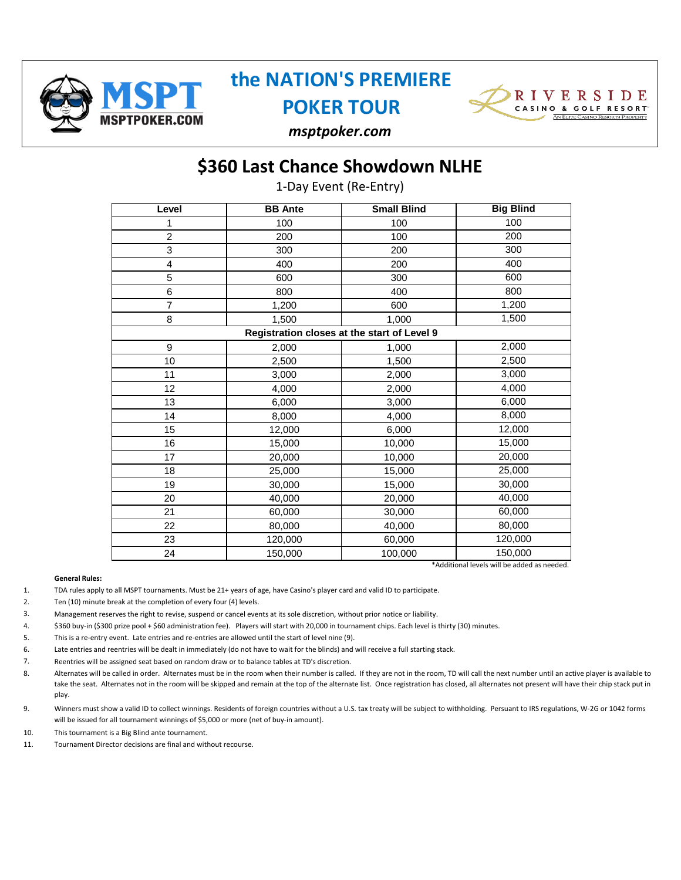

## **the NATION'S PREMIERE**

**POKER TOUR**



*msptpoker.com*

## **\$360 Last Chance Showdown NLHE**

1-Day Event (Re-Entry)

| Level           | <b>BB</b> Ante | <b>Small Blind</b>                          | <b>Big Blind</b> |
|-----------------|----------------|---------------------------------------------|------------------|
| 1               | 100            | 100                                         | 100              |
| $\overline{c}$  | 200            | 100                                         | 200              |
| 3               | 300            | 200                                         | 300              |
| 4               | 400            | 200                                         | 400              |
| 5               | 600            | 300                                         | 600              |
| $6\phantom{1}6$ | 800            | 400                                         | 800              |
| $\overline{7}$  | 1,200          | 600                                         | 1,200            |
| 8               | 1,500          | 1,000                                       | 1,500            |
|                 |                | Registration closes at the start of Level 9 |                  |
| 9               | 2,000          | 1,000                                       | 2,000            |
| 10              | 2,500          | 1,500                                       | 2,500            |
| 11              | 3,000          | 2,000                                       | 3,000            |
| 12              | 4,000          | 2,000                                       | 4,000            |
| 13              | 6,000          | 3,000                                       | 6,000            |
| 14              | 8,000          | 4,000                                       | 8,000            |
| 15              | 12,000         | 6,000                                       | 12,000           |
| 16              | 15,000         | 10,000                                      | 15,000           |
| 17              | 20,000         | 10,000                                      | 20,000           |
| 18              | 25,000         | 15,000                                      | 25,000           |
| 19              | 30,000         | 15,000                                      | 30,000           |
| 20              | 40,000         | 20,000                                      | 40,000           |
| 21              | 60,000         | 30,000                                      | 60,000           |
| 22              | 80,000         | 40,000                                      | 80,000           |
| 23              | 120,000        | 60,000                                      | 120,000          |
| 24              | 150,000        | 100,000                                     | 150,000          |

\*Additional levels will be added as needed.

#### **General Rules:**

- 1. TDA rules apply to all MSPT tournaments. Must be 21+ years of age, have Casino's player card and valid ID to participate.
- 2. Ten (10) minute break at the completion of every four (4) levels.
- 3. Management reserves the right to revise, suspend or cancel events at its sole discretion, without prior notice or liability.
- 4. \$360 buy-in (\$300 prize pool + \$60 administration fee). Players will start with 20,000 in tournament chips. Each level is thirty (30) minutes.
- 5. This is a re-entry event. Late entries and re-entries are allowed until the start of level nine (9).
- 6. Late entries and reentries will be dealt in immediately (do not have to wait for the blinds) and will receive a full starting stack.
- 7. Reentries will be assigned seat based on random draw or to balance tables at TD's discretion.
- 8. Alternates will be called in order. Alternates must be in the room when their number is called. If they are not in the room, TD will call the next number until an active player is available to take the seat. Alternates not in the room will be skipped and remain at the top of the alternate list. Once registration has closed, all alternates not present will have their chip stack put in play.
- 9. Winners must show a valid ID to collect winnings. Residents of foreign countries without a U.S. tax treaty will be subject to withholding. Persuant to IRS regulations, W-2G or 1042 forms will be issued for all tournament winnings of \$5,000 or more (net of buy-in amount).
- 10. This tournament is a Big Blind ante tournament.
- 11. Tournament Director decisions are final and without recourse.